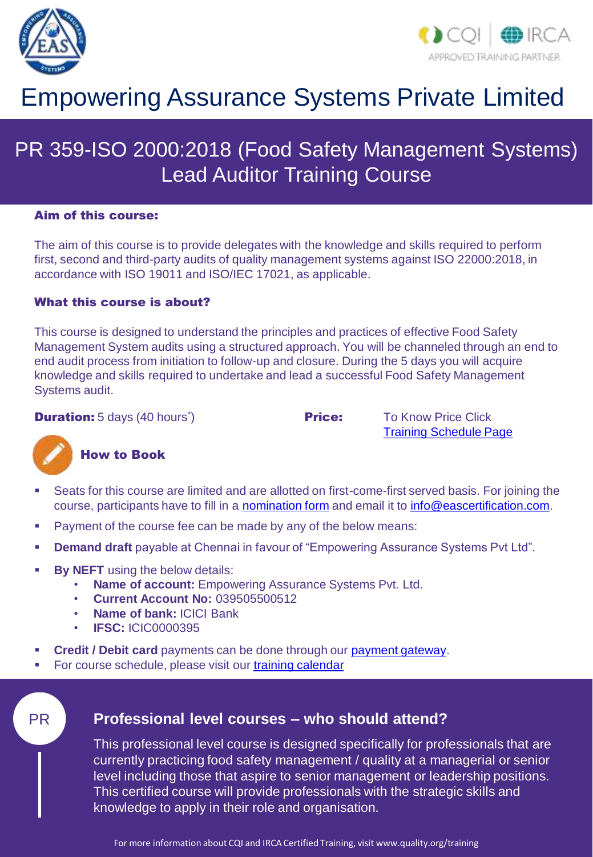



# Empowering Assurance Systems Private Limited

# PR 359-ISO 2000:2018 (Food Safety Management Systems) Lead Auditor Training Course

#### Aim of this course:

The aim of this course is to provide delegates with the knowledge and skills required to perform first, second and third-party audits of quality management systems against ISO 22000:2018, in accordance with ISO 19011 and ISO/IEC 17021, as applicable.

### What this course is about?

This course is designed to understand the principles and practices of effective Food Safety Management System audits using a structured approach. You will be channeled through an end to end audit process from initiation to follow-up and closure. During the 5 days you will acquire knowledge and skills required to undertake and lead a successful Food Safety Management Systems audit.

**Duration:** 5 days (40 hours<sup>\*</sup>)

**Price:** To Know Price Click [Training Schedule Page](https://www.eascertification.com/training-schedule/)



### How to Book

- Seats for this course are limited and are allotted on first-come-first served basis. For joining the course, participants have to fill in a [nomination form](http://www.eascertification.com/wp-content/uploads/2017/10/F-01-Student-Nomination-Form-V1.3-1.docx) and email it to [info@eascertification.com.](mailto:info@eascertification.com)
- **Payment of the course fee can be made by any of the below means:**
- **Demand draft** payable at Chennai in favour of "Empowering Assurance Systems Pvt Ltd".
- **By NEFT** using the below details:
	- **Name of account:** Empowering Assurance Systems Pvt. Ltd.
	- **Current Account No:** 039505500512
	- **Name of bank:** ICICI Bank
	- **IFSC:** ICIC0000395
- **Credit / Debit card** payments can be done through our [payment gateway.](http://www.eascertification.com/online-payment/)
- For course schedule, please visit our [training calendar](http://www.eascertification.com/iso-22000-lead-auditor-training/)

## PR **Professional level courses – who should attend?**

This professional level course is designed specifically for professionals that are currently practicing food safety management / quality at a managerial or senior level including those that aspire to senior management or leadership positions. This certified course will provide professionals with the strategic skills and knowledge to apply in their role and organisation.